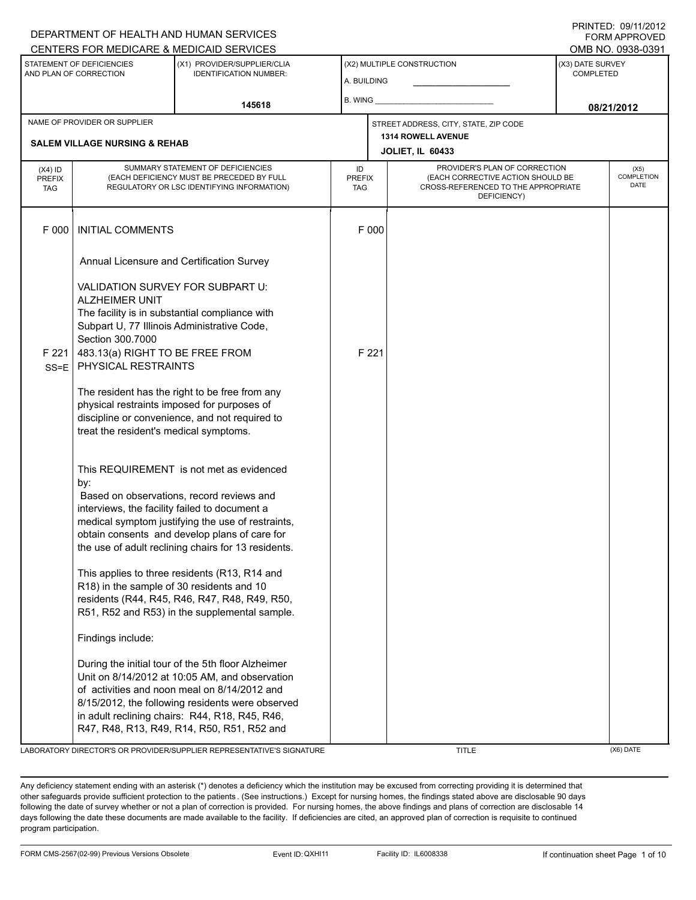|                                                     |                                                                                                                                                                                           | DEPARTMENT OF HEALTH AND HUMAN SERVICES<br>CENTERS FOR MEDICARE & MEDICAID SERVICES                                                                                                                                                                                                                      |                                   |       |                                                                                                                          |                                      | <b>FORM APPROVED</b><br>OMB NO. 0938-0391 |  |
|-----------------------------------------------------|-------------------------------------------------------------------------------------------------------------------------------------------------------------------------------------------|----------------------------------------------------------------------------------------------------------------------------------------------------------------------------------------------------------------------------------------------------------------------------------------------------------|-----------------------------------|-------|--------------------------------------------------------------------------------------------------------------------------|--------------------------------------|-------------------------------------------|--|
| STATEMENT OF DEFICIENCIES<br>AND PLAN OF CORRECTION |                                                                                                                                                                                           | (X1) PROVIDER/SUPPLIER/CLIA<br><b>IDENTIFICATION NUMBER:</b>                                                                                                                                                                                                                                             | A. BUILDING                       |       | (X2) MULTIPLE CONSTRUCTION                                                                                               | (X3) DATE SURVEY<br><b>COMPLETED</b> |                                           |  |
|                                                     |                                                                                                                                                                                           | 145618                                                                                                                                                                                                                                                                                                   | <b>B. WING</b>                    |       |                                                                                                                          | 08/21/2012                           |                                           |  |
| NAME OF PROVIDER OR SUPPLIER                        |                                                                                                                                                                                           |                                                                                                                                                                                                                                                                                                          |                                   |       | STREET ADDRESS, CITY, STATE, ZIP CODE                                                                                    |                                      |                                           |  |
| <b>SALEM VILLAGE NURSING &amp; REHAB</b>            |                                                                                                                                                                                           |                                                                                                                                                                                                                                                                                                          |                                   |       | 1314 ROWELL AVENUE<br><b>JOLIET, IL 60433</b>                                                                            |                                      |                                           |  |
| $(X4)$ ID<br><b>PREFIX</b><br><b>TAG</b>            | SUMMARY STATEMENT OF DEFICIENCIES<br>(EACH DEFICIENCY MUST BE PRECEDED BY FULL<br>REGULATORY OR LSC IDENTIFYING INFORMATION)                                                              |                                                                                                                                                                                                                                                                                                          | ID<br><b>PREFIX</b><br><b>TAG</b> |       | PROVIDER'S PLAN OF CORRECTION<br>(EACH CORRECTIVE ACTION SHOULD BE<br>CROSS-REFERENCED TO THE APPROPRIATE<br>DEFICIENCY) | (X5)<br><b>COMPLETION</b><br>DATE    |                                           |  |
| F 000                                               | <b>INITIAL COMMENTS</b>                                                                                                                                                                   |                                                                                                                                                                                                                                                                                                          |                                   | F 000 |                                                                                                                          |                                      |                                           |  |
|                                                     | Annual Licensure and Certification Survey                                                                                                                                                 |                                                                                                                                                                                                                                                                                                          |                                   |       |                                                                                                                          |                                      |                                           |  |
|                                                     | VALIDATION SURVEY FOR SUBPART U:<br><b>ALZHEIMER UNIT</b><br>Subpart U, 77 Illinois Administrative Code,<br>Section 300.7000                                                              | The facility is in substantial compliance with                                                                                                                                                                                                                                                           |                                   |       |                                                                                                                          |                                      |                                           |  |
| F 221<br>$SS = E$                                   | 483.13(a) RIGHT TO BE FREE FROM<br>PHYSICAL RESTRAINTS                                                                                                                                    |                                                                                                                                                                                                                                                                                                          |                                   | F 221 |                                                                                                                          |                                      |                                           |  |
|                                                     | The resident has the right to be free from any<br>physical restraints imposed for purposes of<br>discipline or convenience, and not required to<br>treat the resident's medical symptoms. |                                                                                                                                                                                                                                                                                                          |                                   |       |                                                                                                                          |                                      |                                           |  |
|                                                     | by:<br>interviews, the facility failed to document a                                                                                                                                      | This REQUIREMENT is not met as evidenced<br>Based on observations, record reviews and<br>medical symptom justifying the use of restraints,<br>obtain consents and develop plans of care for<br>the use of adult reclining chairs for 13 residents.                                                       |                                   |       |                                                                                                                          |                                      |                                           |  |
|                                                     | R18) in the sample of 30 residents and 10                                                                                                                                                 | This applies to three residents (R13, R14 and<br>residents (R44, R45, R46, R47, R48, R49, R50,<br>R51, R52 and R53) in the supplemental sample.                                                                                                                                                          |                                   |       |                                                                                                                          |                                      |                                           |  |
|                                                     | Findings include:                                                                                                                                                                         |                                                                                                                                                                                                                                                                                                          |                                   |       |                                                                                                                          |                                      |                                           |  |
|                                                     |                                                                                                                                                                                           | During the initial tour of the 5th floor Alzheimer<br>Unit on 8/14/2012 at 10:05 AM, and observation<br>of activities and noon meal on 8/14/2012 and<br>8/15/2012, the following residents were observed<br>in adult reclining chairs: R44, R18, R45, R46,<br>R47, R48, R13, R49, R14, R50, R51, R52 and |                                   |       |                                                                                                                          |                                      |                                           |  |

LABORATORY DIRECTOR'S OR PROVIDER/SUPPLIER REPRESENTATIVE'S SIGNATURE TITLE THE TITLE (X6) DATE

DEPARTMENT OF HEALTH AND HUMAN SERVICES

PRINTED: 09/11/2012

Any deficiency statement ending with an asterisk (\*) denotes a deficiency which the institution may be excused from correcting providing it is determined that other safeguards provide sufficient protection to the patients . (See instructions.) Except for nursing homes, the findings stated above are disclosable 90 days following the date of survey whether or not a plan of correction is provided. For nursing homes, the above findings and plans of correction are disclosable 14 days following the date these documents are made available to the facility. If deficiencies are cited, an approved plan of correction is requisite to continued program participation.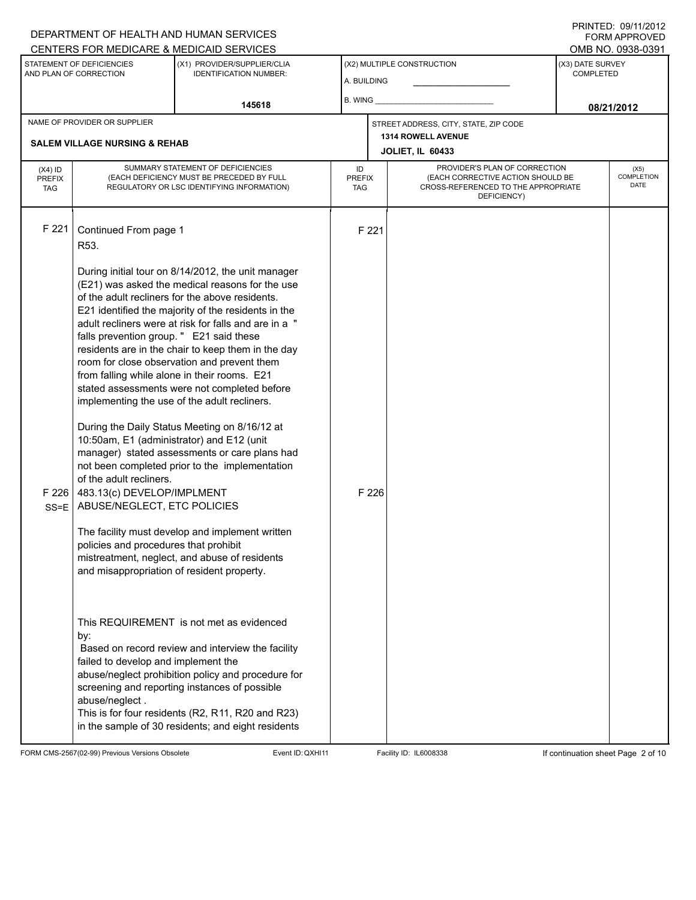#### A. BUILDING (X1) PROVIDER/SUPPLIER/CLIA IDENTIFICATION NUMBER: STATEMENT OF DEFICIENCIES AND PLAN OF CORRECTION (X3) DATE SURVEY COMPLETED FORM APPROVED (X2) MULTIPLE CONSTRUCTION B. WING CENTERS FOR MEDICARE & MEDICAID SERVICES **And CENTERS FOR MEDICAL ACCESS** OMB NO. 0938-0391 **145618 08/21/2012 JOLIET, IL 60433** NAME OF PROVIDER OR SUPPLIER STREET ADDRESS, CITY, STATE, ZIP CODE **SALEM VILLAGE NURSING & REHAB 1314 ROWELL AVENUE** PROVIDER'S PLAN OF CORRECTION (EACH CORRECTIVE ACTION SHOULD BE CROSS-REFERENCED TO THE APPROPRIATE DEFICIENCY) (X5) **COMPLETION** DATE ID PREFIX TAG  $(X4)$  ID PREFIX TAG SUMMARY STATEMENT OF DEFICIENCIES (EACH DEFICIENCY MUST BE PRECEDED BY FULL REGULATORY OR LSC IDENTIFYING INFORMATION) F 221 Continued From page 1 F 221 R53. During initial tour on 8/14/2012, the unit manager (E21) was asked the medical reasons for the use of the adult recliners for the above residents. E21 identified the majority of the residents in the adult recliners were at risk for falls and are in a " falls prevention group. " E21 said these residents are in the chair to keep them in the day room for close observation and prevent them from falling while alone in their rooms. E21 stated assessments were not completed before implementing the use of the adult recliners. During the Daily Status Meeting on 8/16/12 at 10:50am, E1 (administrator) and E12 (unit manager) stated assessments or care plans had not been completed prior to the implementation of the adult recliners. F 226 SS=E 483.13(c) DEVELOP/IMPLMENT ABUSE/NEGLECT, ETC POLICIES The facility must develop and implement written policies and procedures that prohibit mistreatment, neglect, and abuse of residents and misappropriation of resident property. This REQUIREMENT is not met as evidenced by: F 226 Based on record review and interview the facility failed to develop and implement the abuse/neglect prohibition policy and procedure for screening and reporting instances of possible abuse/neglect . This is for four residents (R2, R11, R20 and R23) in the sample of 30 residents; and eight residents

FORM CMS-2567(02-99) Previous Versions Obsolete Event ID:QXHI11 Facility ID: IL6008338 If continuation sheet Page 2 of 10

DEPARTMENT OF HEALTH AND HUMAN SERVICES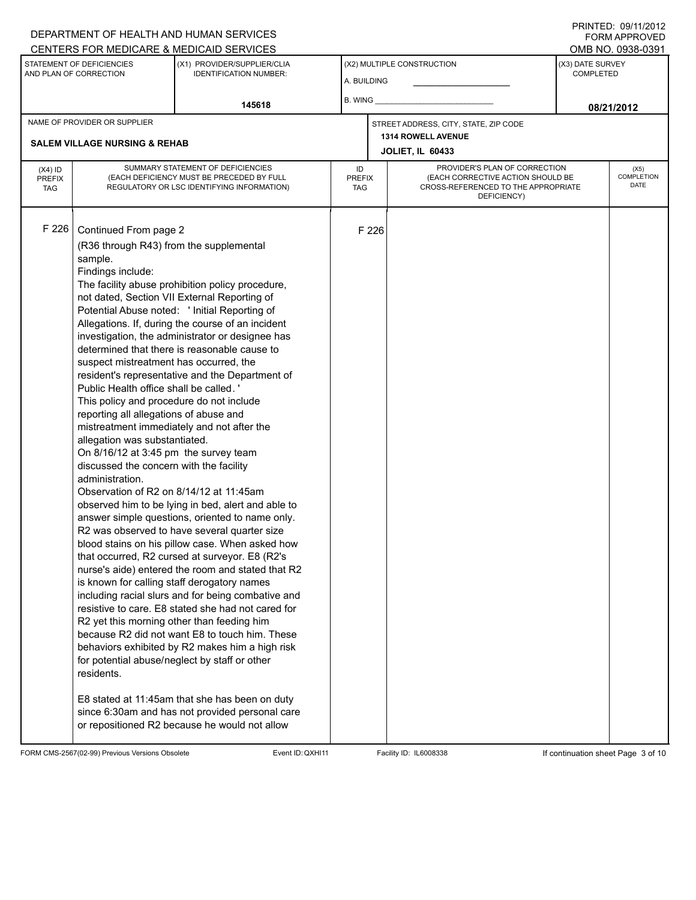#### A. BUILDING (X1) PROVIDER/SUPPLIER/CLIA IDENTIFICATION NUMBER: STATEMENT OF DEFICIENCIES AND PLAN OF CORRECTION (X3) DATE SURVEY COMPLETED FORM APPROVED (X2) MULTIPLE CONSTRUCTION B. WING DEPARTMENT OF HEALTH AND HUMAN SERVICES CENTERS FOR MEDICARE & MEDICAID SERVICES **And CENTERS FOR MEDICAL ACCESS** OMB NO. 0938-0391 **145618 08/21/2012 JOLIET, IL 60433** NAME OF PROVIDER OR SUPPLIER STREET ADDRESS, CITY, STATE, ZIP CODE **SALEM VILLAGE NURSING & REHAB 1314 ROWELL AVENUE** PROVIDER'S PLAN OF CORRECTION (EACH CORRECTIVE ACTION SHOULD BE CROSS-REFERENCED TO THE APPROPRIATE DEFICIENCY) (X5) **COMPLETION** DATE ID PREFIX TAG  $(X4)$  ID PREFIX TAG SUMMARY STATEMENT OF DEFICIENCIES (EACH DEFICIENCY MUST BE PRECEDED BY FULL REGULATORY OR LSC IDENTIFYING INFORMATION) F 226 Continued From page 2 F 226 (R36 through R43) from the supplemental sample. Findings include: The facility abuse prohibition policy procedure, not dated, Section VII External Reporting of Potential Abuse noted: ' Initial Reporting of Allegations. If, during the course of an incident investigation, the administrator or designee has determined that there is reasonable cause to suspect mistreatment has occurred, the resident's representative and the Department of Public Health office shall be called. ' This policy and procedure do not include reporting all allegations of abuse and mistreatment immediately and not after the allegation was substantiated. On 8/16/12 at 3:45 pm the survey team discussed the concern with the facility administration. Observation of R2 on 8/14/12 at 11:45am observed him to be lying in bed, alert and able to answer simple questions, oriented to name only. R2 was observed to have several quarter size blood stains on his pillow case. When asked how that occurred, R2 cursed at surveyor. E8 (R2's nurse's aide) entered the room and stated that R2 is known for calling staff derogatory names including racial slurs and for being combative and resistive to care. E8 stated she had not cared for R2 yet this morning other than feeding him because R2 did not want E8 to touch him. These behaviors exhibited by R2 makes him a high risk for potential abuse/neglect by staff or other residents. E8 stated at 11:45am that she has been on duty since 6:30am and has not provided personal care or repositioned R2 because he would not allow

FORM CMS-2567(02-99) Previous Versions Obsolete Event ID:QXHI11 Facility ID: IL6008338 If continuation sheet Page 3 of 10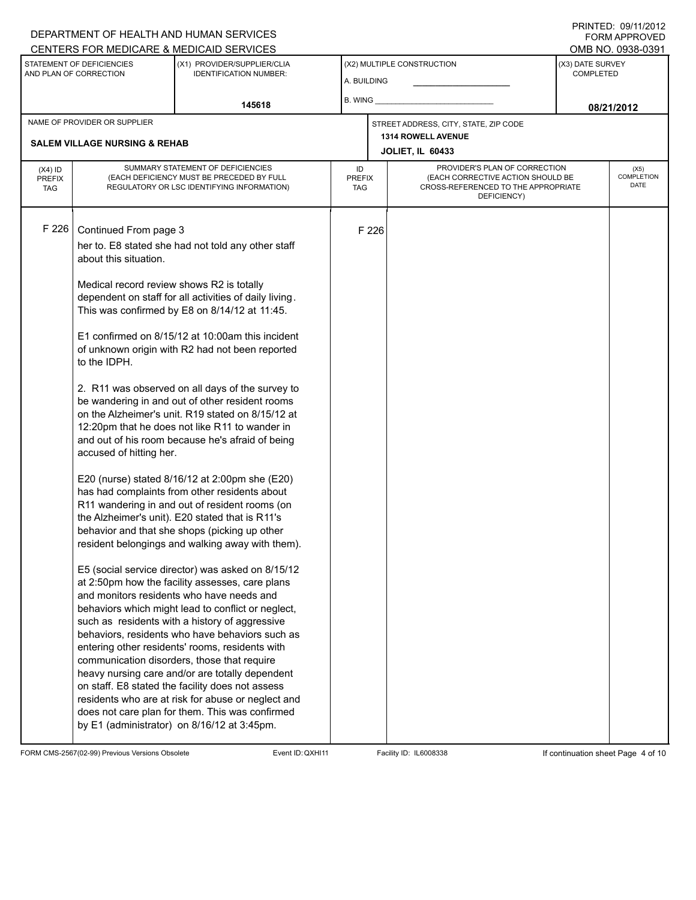## DEPARTMENT OF HEALTH AND HUMAN SERVICES CENTERS FOR MEDICARE & MEDICAID SERVICES

PRINTED: 09/11/2012 FORM APPROVED

|                                                     |                                                                                      | CENTERS FOR MEDICARE & MEDICAID SERVICES                                                                                                                                                                                                                                                                                                                                                                                                                                                                                                                                                                                                                                                                                                                                                                                                                                                                                                                                                                                                                   |                                           |                             |                                                                                                                          |                                      | OMB NO. 0938-0391 |
|-----------------------------------------------------|--------------------------------------------------------------------------------------|------------------------------------------------------------------------------------------------------------------------------------------------------------------------------------------------------------------------------------------------------------------------------------------------------------------------------------------------------------------------------------------------------------------------------------------------------------------------------------------------------------------------------------------------------------------------------------------------------------------------------------------------------------------------------------------------------------------------------------------------------------------------------------------------------------------------------------------------------------------------------------------------------------------------------------------------------------------------------------------------------------------------------------------------------------|-------------------------------------------|-----------------------------|--------------------------------------------------------------------------------------------------------------------------|--------------------------------------|-------------------|
| STATEMENT OF DEFICIENCIES<br>AND PLAN OF CORRECTION |                                                                                      | (X1) PROVIDER/SUPPLIER/CLIA<br><b>IDENTIFICATION NUMBER:</b>                                                                                                                                                                                                                                                                                                                                                                                                                                                                                                                                                                                                                                                                                                                                                                                                                                                                                                                                                                                               | (X2) MULTIPLE CONSTRUCTION<br>A. BUILDING |                             |                                                                                                                          | (X3) DATE SURVEY<br><b>COMPLETED</b> |                   |
|                                                     |                                                                                      | 145618                                                                                                                                                                                                                                                                                                                                                                                                                                                                                                                                                                                                                                                                                                                                                                                                                                                                                                                                                                                                                                                     | B. WING                                   |                             |                                                                                                                          | 08/21/2012                           |                   |
|                                                     | NAME OF PROVIDER OR SUPPLIER                                                         |                                                                                                                                                                                                                                                                                                                                                                                                                                                                                                                                                                                                                                                                                                                                                                                                                                                                                                                                                                                                                                                            |                                           |                             | STREET ADDRESS, CITY, STATE, ZIP CODE                                                                                    |                                      |                   |
|                                                     | <b>SALEM VILLAGE NURSING &amp; REHAB</b>                                             |                                                                                                                                                                                                                                                                                                                                                                                                                                                                                                                                                                                                                                                                                                                                                                                                                                                                                                                                                                                                                                                            | 1314 ROWELL AVENUE                        |                             |                                                                                                                          |                                      |                   |
|                                                     |                                                                                      |                                                                                                                                                                                                                                                                                                                                                                                                                                                                                                                                                                                                                                                                                                                                                                                                                                                                                                                                                                                                                                                            |                                           |                             | <b>JOLIET, IL 60433</b>                                                                                                  |                                      |                   |
| $(X4)$ ID<br><b>PREFIX</b><br><b>TAG</b>            |                                                                                      | SUMMARY STATEMENT OF DEFICIENCIES<br>(EACH DEFICIENCY MUST BE PRECEDED BY FULL<br>REGULATORY OR LSC IDENTIFYING INFORMATION)                                                                                                                                                                                                                                                                                                                                                                                                                                                                                                                                                                                                                                                                                                                                                                                                                                                                                                                               |                                           | <b>PREFIX</b><br><b>TAG</b> | PROVIDER'S PLAN OF CORRECTION<br>(EACH CORRECTIVE ACTION SHOULD BE<br>CROSS-REFERENCED TO THE APPROPRIATE<br>DEFICIENCY) |                                      |                   |
| F 226                                               | Continued From page 3                                                                |                                                                                                                                                                                                                                                                                                                                                                                                                                                                                                                                                                                                                                                                                                                                                                                                                                                                                                                                                                                                                                                            |                                           | F 226                       |                                                                                                                          |                                      |                   |
|                                                     | her to. E8 stated she had not told any other staff<br>about this situation.          |                                                                                                                                                                                                                                                                                                                                                                                                                                                                                                                                                                                                                                                                                                                                                                                                                                                                                                                                                                                                                                                            |                                           |                             |                                                                                                                          |                                      |                   |
|                                                     | Medical record review shows R2 is totally<br>to the IDPH.<br>accused of hitting her. | dependent on staff for all activities of daily living.<br>This was confirmed by E8 on 8/14/12 at 11:45.<br>E1 confirmed on 8/15/12 at 10:00am this incident<br>of unknown origin with R2 had not been reported<br>2. R11 was observed on all days of the survey to<br>be wandering in and out of other resident rooms<br>on the Alzheimer's unit. R19 stated on 8/15/12 at<br>12:20pm that he does not like R11 to wander in<br>and out of his room because he's afraid of being<br>E20 (nurse) stated 8/16/12 at 2:00pm she (E20)<br>has had complaints from other residents about<br>R11 wandering in and out of resident rooms (on<br>the Alzheimer's unit). E20 stated that is R11's<br>behavior and that she shops (picking up other<br>resident belongings and walking away with them).<br>E5 (social service director) was asked on 8/15/12<br>at 2:50pm how the facility assesses, care plans<br>and monitors residents who have needs and<br>behaviors which might lead to conflict or neglect,<br>such as residents with a history of aggressive |                                           |                             |                                                                                                                          |                                      |                   |
|                                                     |                                                                                      | behaviors, residents who have behaviors such as<br>entering other residents' rooms, residents with<br>communication disorders, those that require<br>heavy nursing care and/or are totally dependent<br>on staff. E8 stated the facility does not assess<br>residents who are at risk for abuse or neglect and<br>does not care plan for them. This was confirmed<br>by E1 (administrator) on 8/16/12 at 3:45pm.                                                                                                                                                                                                                                                                                                                                                                                                                                                                                                                                                                                                                                           |                                           |                             |                                                                                                                          |                                      |                   |

FORM CMS-2567(02-99) Previous Versions Obsolete Event ID: QXHI11 Facility ID: IL6008338 If continuation sheet Page 4 of 10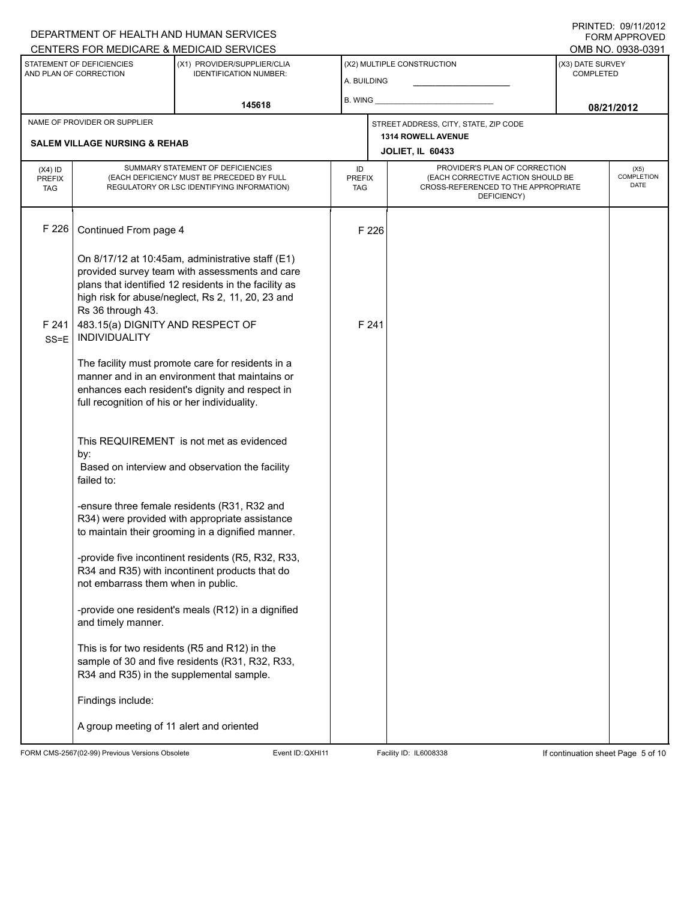## A. BUILDING (X1) PROVIDER/SUPPLIER/CLIA IDENTIFICATION NUMBER: STATEMENT OF DEFICIENCIES AND PLAN OF CORRECTION (X3) DATE SURVEY COMPLETED (X2) MULTIPLE CONSTRUCTION B. WING CENTERS FOR MEDICARE & MEDICAID SERVICES OMB NO. 0938-0391 **145618 08/21/2012 JOLIET, IL 60433** NAME OF PROVIDER OR SUPPLIER STREET ADDRESS, CITY, STATE, ZIP CODE **SALEM VILLAGE NURSING & REHAB 1314 ROWELL AVENUE** PROVIDER'S PLAN OF CORRECTION (EACH CORRECTIVE ACTION SHOULD BE CROSS-REFERENCED TO THE APPROPRIATE DEFICIENCY) (X5) **COMPLETION** DATE ID PREFIX TAG  $(X4)$  ID PREFIX TAG SUMMARY STATEMENT OF DEFICIENCIES (EACH DEFICIENCY MUST BE PRECEDED BY FULL REGULATORY OR LSC IDENTIFYING INFORMATION) F 226 Continued From page 4 F 226 On 8/17/12 at 10:45am, administrative staff (E1) provided survey team with assessments and care plans that identified 12 residents in the facility as high risk for abuse/neglect, Rs 2, 11, 20, 23 and Rs 36 through 43. F 241 SS=E INDIVIDUALITY 483.15(a) DIGNITY AND RESPECT OF The facility must promote care for residents in a manner and in an environment that maintains or enhances each resident's dignity and respect in full recognition of his or her individuality. This REQUIREMENT is not met as evidenced by: F 241 Based on interview and observation the facility failed to: -ensure three female residents (R31, R32 and R34) were provided with appropriate assistance to maintain their grooming in a dignified manner. -provide five incontinent residents (R5, R32, R33, R34 and R35) with incontinent products that do not embarrass them when in public. -provide one resident's meals (R12) in a dignified and timely manner. This is for two residents (R5 and R12) in the sample of 30 and five residents (R31, R32, R33, R34 and R35) in the supplemental sample. Findings include: A group meeting of 11 alert and oriented

FORM CMS-2567(02-99) Previous Versions Obsolete Event ID:QXHI11 Facility ID: IL6008338 If continuation sheet Page 5 of 10

DEPARTMENT OF HEALTH AND HUMAN SERVICES

PRINTED: 09/11/2012 FORM APPROVED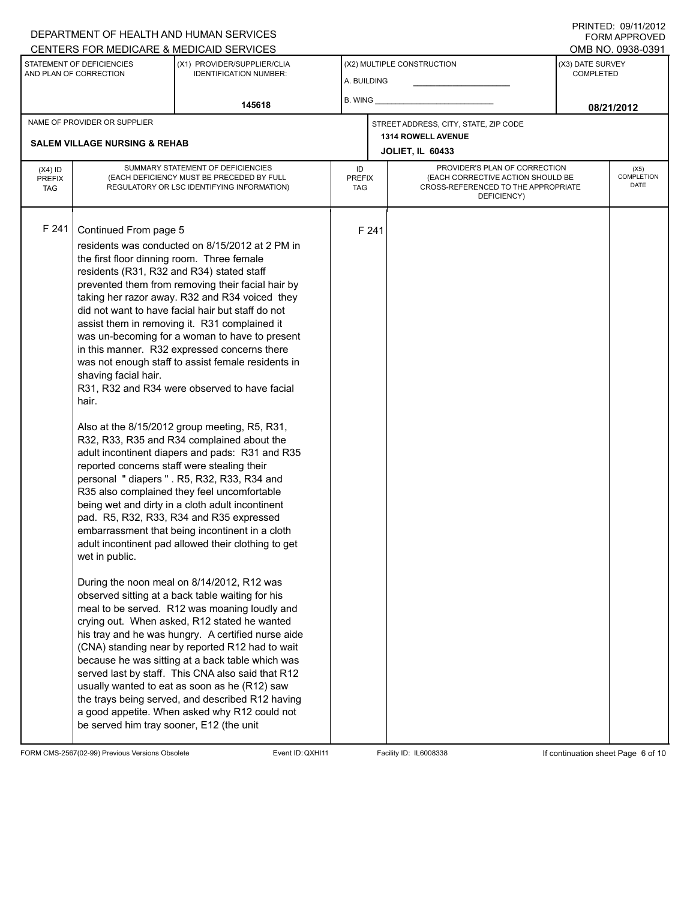## DEPARTMENT OF HEALTH AND HUMAN SERVICES CENTERS FOR MEDICARE & MEDICAID SERVICES

PRINTED: 09/11/2012 FORM APPROVED

| <u>CENTERS FOR MEDICARE &amp; MEDICAID SERVICES</u> |                                                                                                                                                                                                                                                                                                                                                                                                                                                                                                                                                                                                                                                                                                                                                                                                                                                                                                                                                                                                                                                                                                                                                                                                                                                                                                                                                                                                                                                                                                                                                                                                                                                                                                                                                                                                                                                                                                            |                                                              |                                           |       |                                               |                                                                                                           | OMB NO. 0938-0391 |
|-----------------------------------------------------|------------------------------------------------------------------------------------------------------------------------------------------------------------------------------------------------------------------------------------------------------------------------------------------------------------------------------------------------------------------------------------------------------------------------------------------------------------------------------------------------------------------------------------------------------------------------------------------------------------------------------------------------------------------------------------------------------------------------------------------------------------------------------------------------------------------------------------------------------------------------------------------------------------------------------------------------------------------------------------------------------------------------------------------------------------------------------------------------------------------------------------------------------------------------------------------------------------------------------------------------------------------------------------------------------------------------------------------------------------------------------------------------------------------------------------------------------------------------------------------------------------------------------------------------------------------------------------------------------------------------------------------------------------------------------------------------------------------------------------------------------------------------------------------------------------------------------------------------------------------------------------------------------------|--------------------------------------------------------------|-------------------------------------------|-------|-----------------------------------------------|-----------------------------------------------------------------------------------------------------------|-------------------|
| STATEMENT OF DEFICIENCIES<br>AND PLAN OF CORRECTION |                                                                                                                                                                                                                                                                                                                                                                                                                                                                                                                                                                                                                                                                                                                                                                                                                                                                                                                                                                                                                                                                                                                                                                                                                                                                                                                                                                                                                                                                                                                                                                                                                                                                                                                                                                                                                                                                                                            | (X1) PROVIDER/SUPPLIER/CLIA<br><b>IDENTIFICATION NUMBER:</b> | (X2) MULTIPLE CONSTRUCTION<br>A. BUILDING |       |                                               | (X3) DATE SURVEY<br><b>COMPLETED</b>                                                                      |                   |
|                                                     |                                                                                                                                                                                                                                                                                                                                                                                                                                                                                                                                                                                                                                                                                                                                                                                                                                                                                                                                                                                                                                                                                                                                                                                                                                                                                                                                                                                                                                                                                                                                                                                                                                                                                                                                                                                                                                                                                                            | 145618                                                       | <b>B. WING</b>                            |       |                                               | 08/21/2012                                                                                                |                   |
| NAME OF PROVIDER OR SUPPLIER                        |                                                                                                                                                                                                                                                                                                                                                                                                                                                                                                                                                                                                                                                                                                                                                                                                                                                                                                                                                                                                                                                                                                                                                                                                                                                                                                                                                                                                                                                                                                                                                                                                                                                                                                                                                                                                                                                                                                            |                                                              |                                           |       | STREET ADDRESS, CITY, STATE, ZIP CODE         |                                                                                                           |                   |
| <b>SALEM VILLAGE NURSING &amp; REHAB</b>            |                                                                                                                                                                                                                                                                                                                                                                                                                                                                                                                                                                                                                                                                                                                                                                                                                                                                                                                                                                                                                                                                                                                                                                                                                                                                                                                                                                                                                                                                                                                                                                                                                                                                                                                                                                                                                                                                                                            |                                                              |                                           |       | 1314 ROWELL AVENUE<br><b>JOLIET, IL 60433</b> |                                                                                                           |                   |
| $(X4)$ ID<br><b>PREFIX</b><br><b>TAG</b>            |                                                                                                                                                                                                                                                                                                                                                                                                                                                                                                                                                                                                                                                                                                                                                                                                                                                                                                                                                                                                                                                                                                                                                                                                                                                                                                                                                                                                                                                                                                                                                                                                                                                                                                                                                                                                                                                                                                            |                                                              | ID<br><b>PREFIX</b><br><b>TAG</b>         |       | DEFICIENCY)                                   | PROVIDER'S PLAN OF CORRECTION<br>(EACH CORRECTIVE ACTION SHOULD BE<br>CROSS-REFERENCED TO THE APPROPRIATE |                   |
| F 241                                               | SUMMARY STATEMENT OF DEFICIENCIES<br>(EACH DEFICIENCY MUST BE PRECEDED BY FULL<br>REGULATORY OR LSC IDENTIFYING INFORMATION)<br>Continued From page 5<br>residents was conducted on 8/15/2012 at 2 PM in<br>the first floor dinning room. Three female<br>residents (R31, R32 and R34) stated staff<br>prevented them from removing their facial hair by<br>taking her razor away. R32 and R34 voiced they<br>did not want to have facial hair but staff do not<br>assist them in removing it. R31 complained it<br>was un-becoming for a woman to have to present<br>in this manner. R32 expressed concerns there<br>was not enough staff to assist female residents in<br>shaving facial hair.<br>R31, R32 and R34 were observed to have facial<br>hair.<br>Also at the 8/15/2012 group meeting, R5, R31,<br>R32, R33, R35 and R34 complained about the<br>adult incontinent diapers and pads: R31 and R35<br>reported concerns staff were stealing their<br>personal "diapers". R5, R32, R33, R34 and<br>R35 also complained they feel uncomfortable<br>being wet and dirty in a cloth adult incontinent<br>pad. R5, R32, R33, R34 and R35 expressed<br>embarrassment that being incontinent in a cloth<br>adult incontinent pad allowed their clothing to get<br>wet in public.<br>During the noon meal on 8/14/2012, R12 was<br>observed sitting at a back table waiting for his<br>meal to be served. R12 was moaning loudly and<br>crying out. When asked, R12 stated he wanted<br>his tray and he was hungry. A certified nurse aide<br>(CNA) standing near by reported R12 had to wait<br>because he was sitting at a back table which was<br>served last by staff. This CNA also said that R12<br>usually wanted to eat as soon as he (R12) saw<br>the trays being served, and described R12 having<br>a good appetite. When asked why R12 could not<br>be served him tray sooner, E12 (the unit |                                                              |                                           | F 241 |                                               |                                                                                                           |                   |

FORM CMS-2567(02-99) Previous Versions Obsolete Event ID: QXHI11 Facility ID: IL6008338 If continuation sheet Page 6 of 10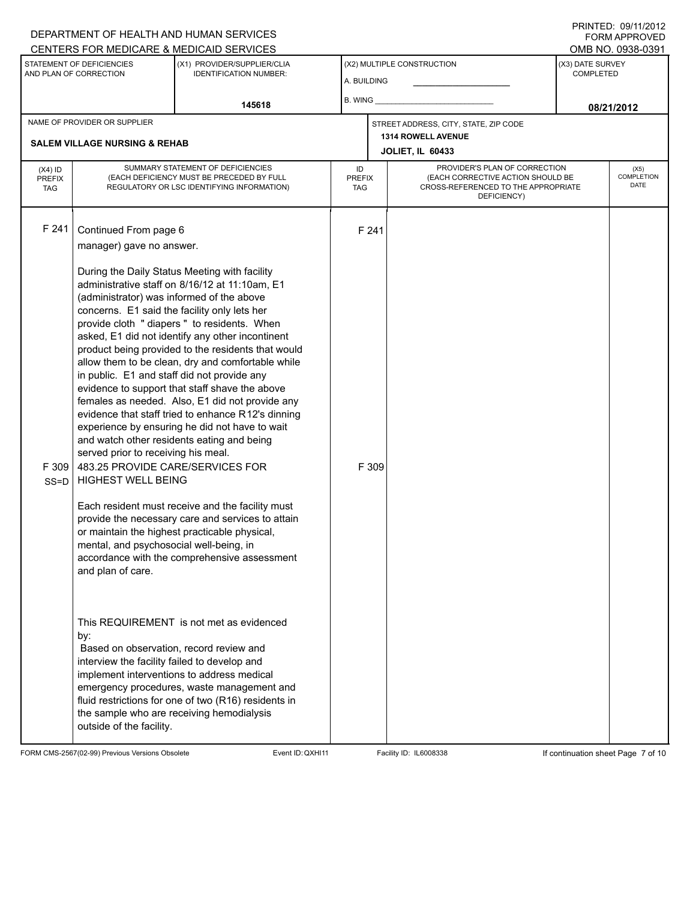#### A. BUILDING (X1) PROVIDER/SUPPLIER/CLIA IDENTIFICATION NUMBER: STATEMENT OF DEFICIENCIES AND PLAN OF CORRECTION (X3) DATE SURVEY COMPLETED FORM APPROVED (X2) MULTIPLE CONSTRUCTION B. WING DEPARTMENT OF HEALTH AND HUMAN SERVICES CENTERS FOR MEDICARE & MEDICAID SERVICES **And CENTERS FOR MEDICAL ACCESS** OMB NO. 0938-0391 **145618 08/21/2012 JOLIET, IL 60433** NAME OF PROVIDER OR SUPPLIER STREET ADDRESS, CITY, STATE, ZIP CODE **SALEM VILLAGE NURSING & REHAB 1314 ROWELL AVENUE** PROVIDER'S PLAN OF CORRECTION (EACH CORRECTIVE ACTION SHOULD BE CROSS-REFERENCED TO THE APPROPRIATE DEFICIENCY) (X5) **COMPLETION** DATE ID PREFIX TAG (X4) ID PREFIX TAG SUMMARY STATEMENT OF DEFICIENCIES (EACH DEFICIENCY MUST BE PRECEDED BY FULL REGULATORY OR LSC IDENTIFYING INFORMATION) F 241 Continued From page 6 F 241 manager) gave no answer. During the Daily Status Meeting with facility administrative staff on 8/16/12 at 11:10am, E1 (administrator) was informed of the above concerns. E1 said the facility only lets her provide cloth " diapers " to residents. When asked, E1 did not identify any other incontinent product being provided to the residents that would allow them to be clean, dry and comfortable while in public. E1 and staff did not provide any evidence to support that staff shave the above females as needed. Also, E1 did not provide any evidence that staff tried to enhance R12's dinning experience by ensuring he did not have to wait and watch other residents eating and being served prior to receiving his meal. F 309 SS=D 483.25 PROVIDE CARE/SERVICES FOR HIGHEST WELL BEING Each resident must receive and the facility must provide the necessary care and services to attain or maintain the highest practicable physical, mental, and psychosocial well-being, in accordance with the comprehensive assessment and plan of care. This REQUIREMENT is not met as evidenced by: F 309 Based on observation, record review and interview the facility failed to develop and implement interventions to address medical emergency procedures, waste management and fluid restrictions for one of two (R16) residents in the sample who are receiving hemodialysis outside of the facility.

FORM CMS-2567(02-99) Previous Versions Obsolete Event ID:QXHI11 Facility ID: IL6008338 If continuation sheet Page 7 of 10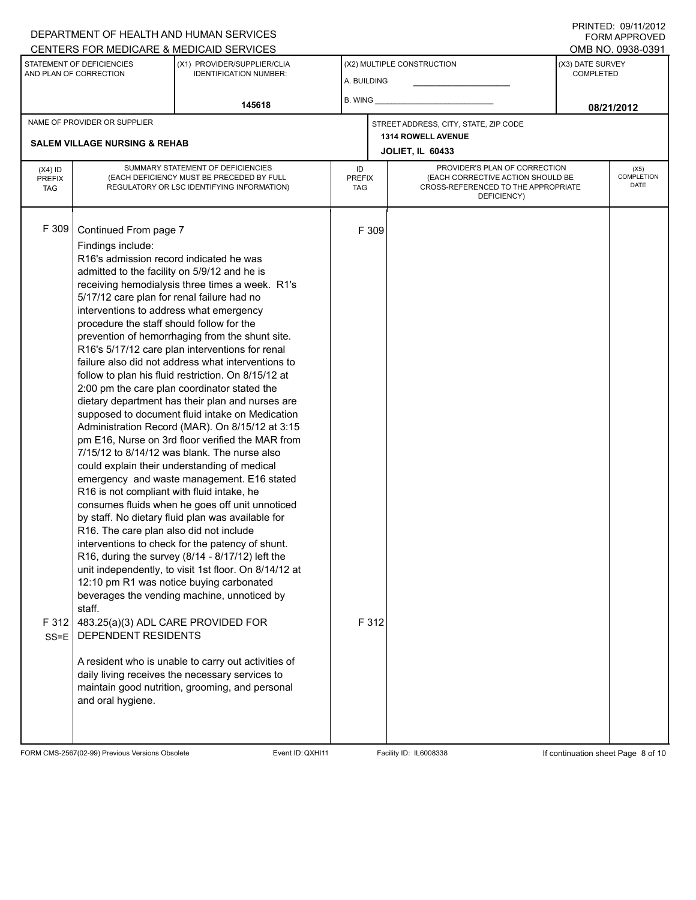#### A. BUILDING (X1) PROVIDER/SUPPLIER/CLIA IDENTIFICATION NUMBER: STATEMENT OF DEFICIENCIES AND PLAN OF CORRECTION (X3) DATE SURVEY COMPLETED FORM APPROVED (X2) MULTIPLE CONSTRUCTION B. WING DEPARTMENT OF HEALTH AND HUMAN SERVICES CENTERS FOR MEDICARE & MEDICAID SERVICES **And CENTERS FOR MEDICAL ACCESS** OMB NO. 0938-0391 **145618 08/21/2012 JOLIET, IL 60433** NAME OF PROVIDER OR SUPPLIER STREET ADDRESS, CITY, STATE, ZIP CODE **SALEM VILLAGE NURSING & REHAB 1314 ROWELL AVENUE** PROVIDER'S PLAN OF CORRECTION (EACH CORRECTIVE ACTION SHOULD BE CROSS-REFERENCED TO THE APPROPRIATE DEFICIENCY) (X5) **COMPLETION** DATE ID PREFIX TAG  $(X4)$  ID PREFIX TAG SUMMARY STATEMENT OF DEFICIENCIES (EACH DEFICIENCY MUST BE PRECEDED BY FULL REGULATORY OR LSC IDENTIFYING INFORMATION) F 309 Continued From page 7 F 309 Findings include: R16's admission record indicated he was admitted to the facility on 5/9/12 and he is receiving hemodialysis three times a week. R1's 5/17/12 care plan for renal failure had no interventions to address what emergency procedure the staff should follow for the prevention of hemorrhaging from the shunt site. R16's 5/17/12 care plan interventions for renal failure also did not address what interventions to follow to plan his fluid restriction. On 8/15/12 at 2:00 pm the care plan coordinator stated the dietary department has their plan and nurses are supposed to document fluid intake on Medication Administration Record (MAR). On 8/15/12 at 3:15 pm E16, Nurse on 3rd floor verified the MAR from 7/15/12 to 8/14/12 was blank. The nurse also could explain their understanding of medical emergency and waste management. E16 stated R16 is not compliant with fluid intake, he consumes fluids when he goes off unit unnoticed by staff. No dietary fluid plan was available for R16. The care plan also did not include interventions to check for the patency of shunt. R16, during the survey (8/14 - 8/17/12) left the unit independently, to visit 1st floor. On 8/14/12 at 12:10 pm R1 was notice buying carbonated beverages the vending machine, unnoticed by staff. F 312 483.25(a)(3) ADL CARE PROVIDED FOR SS=E DEPENDENT RESIDENTS A resident who is unable to carry out activities of daily living receives the necessary services to maintain good nutrition, grooming, and personal and oral hygiene. F 312

FORM CMS-2567(02-99) Previous Versions Obsolete Event ID:QXHI11 Facility ID: IL6008338 If continuation sheet Page 8 of 10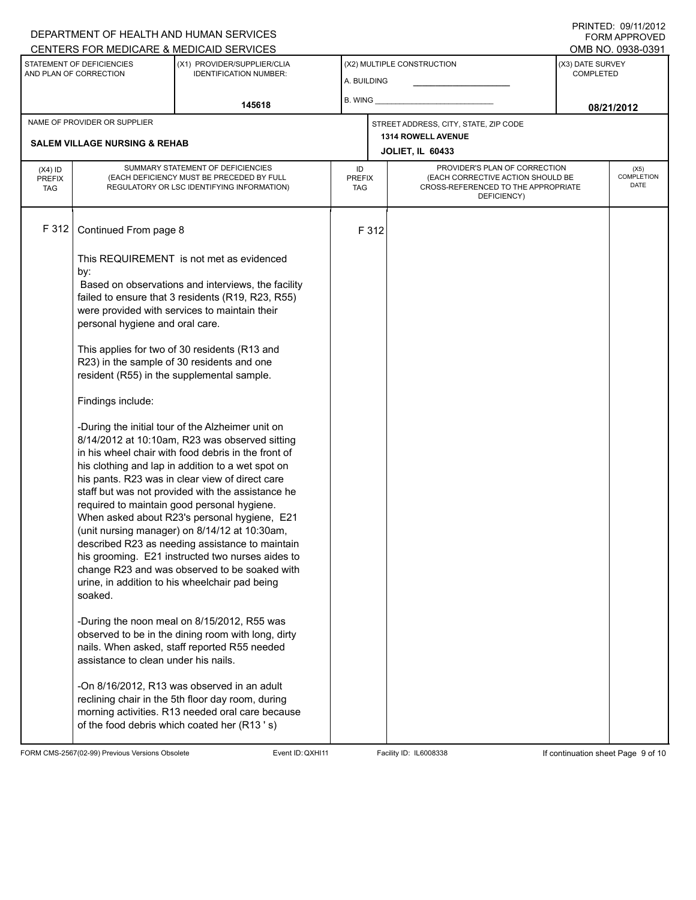### A. BUILDING (X1) PROVIDER/SUPPLIER/CLIA IDENTIFICATION NUMBER: STATEMENT OF DEFICIENCIES AND PLAN OF CORRECTION (X3) DATE SURVEY COMPLETED FORM APPROVED (X2) MULTIPLE CONSTRUCTION B. WING CENTERS FOR MEDICARE & MEDICAID SERVICES **And CENTERS FOR MEDICAL ACCESS** OMB NO. 0938-0391 **145618 08/21/2012 JOLIET, IL 60433** NAME OF PROVIDER OR SUPPLIER STREET ADDRESS, CITY, STATE, ZIP CODE **SALEM VILLAGE NURSING & REHAB 1314 ROWELL AVENUE** PROVIDER'S PLAN OF CORRECTION (EACH CORRECTIVE ACTION SHOULD BE CROSS-REFERENCED TO THE APPROPRIATE DEFICIENCY) (X5) **COMPLETION** DATE ID PREFIX TAG  $(X4)$  ID PREFIX TAG SUMMARY STATEMENT OF DEFICIENCIES (EACH DEFICIENCY MUST BE PRECEDED BY FULL REGULATORY OR LSC IDENTIFYING INFORMATION) F 312 Continued From page 8 F 312 This REQUIREMENT is not met as evidenced by: Based on observations and interviews, the facility failed to ensure that 3 residents (R19, R23, R55) were provided with services to maintain their personal hygiene and oral care. This applies for two of 30 residents (R13 and R23) in the sample of 30 residents and one resident (R55) in the supplemental sample. Findings include: -During the initial tour of the Alzheimer unit on 8/14/2012 at 10:10am, R23 was observed sitting in his wheel chair with food debris in the front of his clothing and lap in addition to a wet spot on his pants. R23 was in clear view of direct care staff but was not provided with the assistance he required to maintain good personal hygiene. When asked about R23's personal hygiene, E21 (unit nursing manager) on 8/14/12 at 10:30am, described R23 as needing assistance to maintain his grooming. E21 instructed two nurses aides to change R23 and was observed to be soaked with urine, in addition to his wheelchair pad being soaked. -During the noon meal on 8/15/2012, R55 was observed to be in the dining room with long, dirty nails. When asked, staff reported R55 needed assistance to clean under his nails. -On 8/16/2012, R13 was observed in an adult reclining chair in the 5th floor day room, during morning activities. R13 needed oral care because of the food debris which coated her (R13 ' s)

FORM CMS-2567(02-99) Previous Versions Obsolete Event ID:QXHI11 Facility ID: IL6008338 If continuation sheet Page 9 of 10

DEPARTMENT OF HEALTH AND HUMAN SERVICES